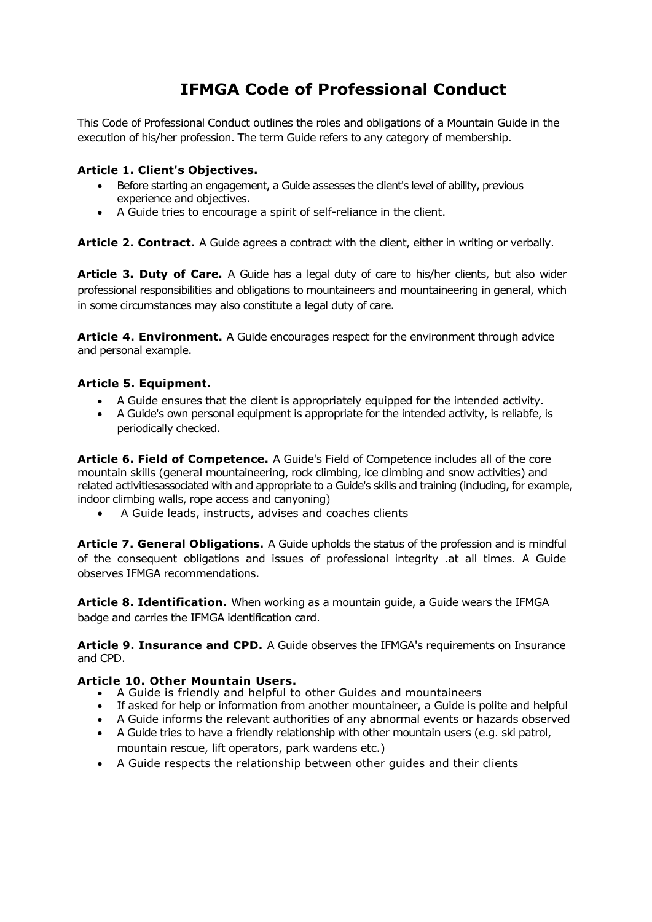# **IFMGA Code of Professional Conduct**

This Code of Professional Conduct outlines the roles and obligations of a Mountain Guide in the execution of his/her profession. The term Guide refers to any category of membership.

### **Article 1. Client's Objectives.**

- Before starting an engagement, a Guide assesses the client's level of ability, previous experience and objectives.
- A Guide tries to encourage a spirit of self-reliance in the client.

**Article 2. Contract.** A Guide agrees a contract with the client, either in writing or verbally.

**Article 3. Duty of Care.** A Guide has a legal duty of care to his/her clients, but also wider professional responsibilities and obligations to mountaineers and mountaineering in general, which in some circumstances may also constitute a legal duty of care.

Article 4. Environment. A Guide encourages respect for the environment through advice and personal example.

## **Article 5. Equipment.**

- A Guide ensures that the client is appropriately equipped for the intended activity.
- A Guide's own personal equipment is appropriate for the intended activity, is reliabfe, is periodically checked.

**Article 6. Field of Competence.** A Guide's Field of Competence includes all of the core mountain skills (general mountaineering, rock climbing, ice climbing and snow activities) and related activitiesassociated with and appropriate to a Guide's skills and training (including, for example, indoor climbing walls, rope access and canyoning)

A Guide leads, instructs, advises and coaches clients

**Article 7. General Obligations.** A Guide upholds the status of the profession and is mindful of the consequent obligations and issues of professional integrity .at all times. A Guide observes IFMGA recommendations.

**Article 8. Identification.** When working as a mountain guide, a Guide wears the IFMGA badge and carries the IFMGA identification card.

**Article 9. Insurance and CPD.** A Guide observes the IFMGA's requirements on Insurance and CPD.

### **Article 10. Other Mountain Users.**

- A Guide is friendly and helpful to other Guides and mountaineers
- If asked for help or information from another mountaineer, a Guide is polite and helpful
- A Guide informs the relevant authorities of any abnormal events or hazards observed
- A Guide tries to have a friendly relationship with other mountain users (e.g. ski patrol, mountain rescue, lift operators, park wardens etc.)
- A Guide respects the relationship between other guides and their clients